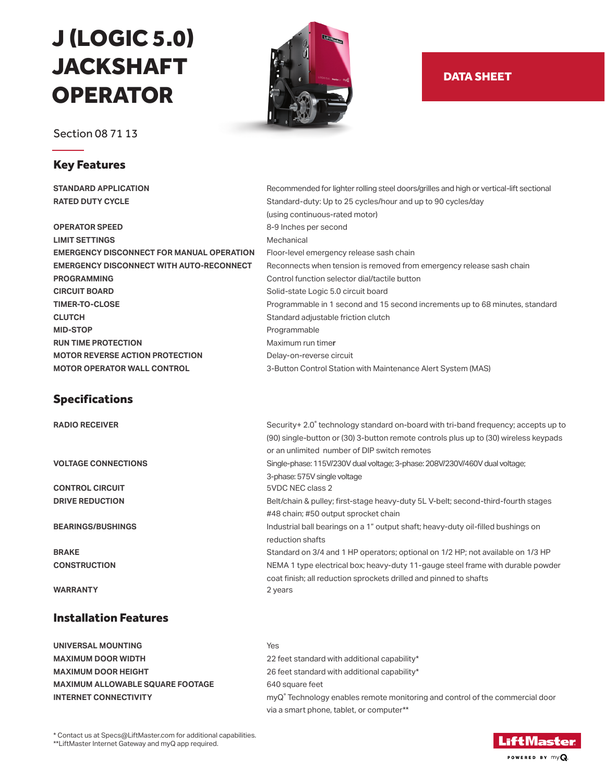# J (LOGIC 5.0) JACKSHAFT **OPERATOR**

Section 08 71 13

## Key Features

**OPERATOR SPEED** 8-9 Inches per second **LIMIT SETTINGS** Mechanical **EMERGENCY DISCONNECT FOR MANUAL OPERATION** Floor-level emergency release sash chain **PROGRAMMING Control function selector dial/tactile button CIRCUIT BOARD Solid-state Logic 5.0 circuit board CIRCUIT BOARD CLUTCH Standard adjustable friction clutch Standard adjustable friction clutch MID-STOP** Programmable **RUN TIME PROTECTION Maximum run timer MOTOR REVERSE ACTION PROTECTION <br>Delay-on-reverse circuit MOTOR OPERATOR WALL CONTROL** 3-Button Control Station with Maintenance Alert System (MAS)

## Specifications

**RADIO RECEIVER** 

### Installation Features

**UNIVERSAL MOUNTING** Yes **MAXIMUM ALLOWABLE SQUARE FOOTAGE** 640 square feet **INTERNET CONNECTIVITY** 



## DATA SHEET

**STANDARD APPLICATION** Recommended for lighter rolling steel doors/grilles and high or vertical-lift sectional **RATED DUTY CYCLE Standard-duty: Up to 25 cycles/hour and up to 90 cycles/day**  (using continuous-rated motor) **EMERGENCY DISCONNECT WITH AUTO-RECONNECT** Reconnects when tension is removed from emergency release sash chain **TIMER-TO-CLOSE Programmable in 1 second and 15 second increments up to 68 minutes, standard 15 second increments up to 68 minutes, standard** 

| <b>RADIO RECEIVER</b>      | Security+ 2.0° technology standard on-board with tri-band frequency; accepts up to   |
|----------------------------|--------------------------------------------------------------------------------------|
|                            | (90) single-button or (30) 3-button remote controls plus up to (30) wireless keypads |
|                            | or an unlimited number of DIP switch remotes                                         |
| <b>VOLTAGE CONNECTIONS</b> | Single-phase: 115V/230V dual voltage; 3-phase: 208V/230V/460V dual voltage;          |
|                            | 3-phase: 575V single voltage                                                         |
| <b>CONTROL CIRCUIT</b>     | 5VDC NEC class 2                                                                     |
| <b>DRIVE REDUCTION</b>     | Belt/chain & pulley; first-stage heavy-duty 5L V-belt; second-third-fourth stages    |
|                            | #48 chain; #50 output sprocket chain                                                 |
| <b>BEARINGS/BUSHINGS</b>   | Industrial ball bearings on a 1" output shaft; heavy-duty oil-filled bushings on     |
|                            | reduction shafts                                                                     |
| <b>BRAKE</b>               | Standard on 3/4 and 1 HP operators; optional on 1/2 HP; not available on 1/3 HP      |
| <b>CONSTRUCTION</b>        | NEMA 1 type electrical box; heavy-duty 11-gauge steel frame with durable powder      |
|                            | coat finish; all reduction sprockets drilled and pinned to shafts                    |
| <b>WARRANTY</b>            | 2 years                                                                              |
|                            |                                                                                      |

**MAXIMUM DOOR WIDTH**  22 feet standard with additional capability\* **MAXIMUM DOOR HEIGHT** 26 feet standard with additional capability\* myQ<sup>®</sup> Technology enables remote monitoring and control of the commercial door via a smart phone, tablet, or computer\*\*

\* Contact us at Specs@LiftMaster.com for additional capabilities.

\*\*LiftMaster Internet Gateway and myQ app required.